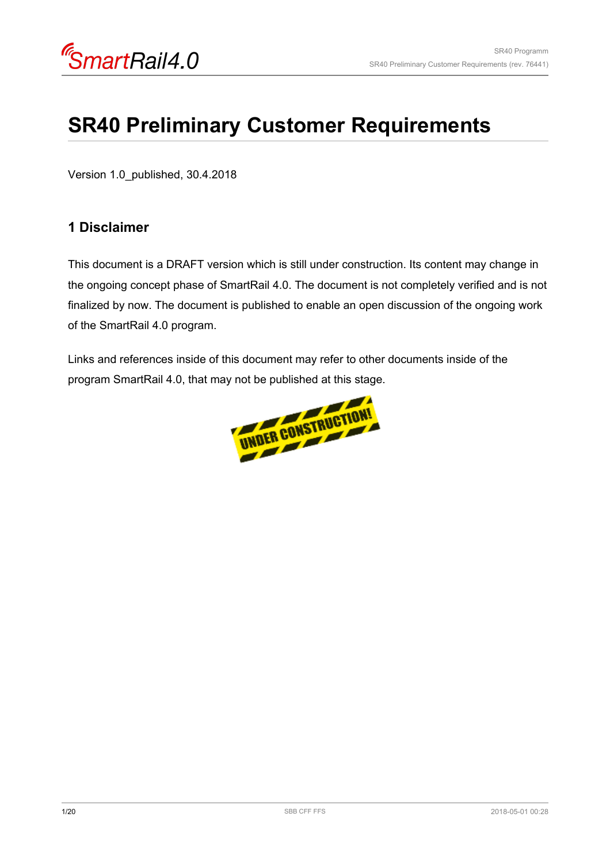# **SR40 Preliminary Customer Requirements**

Version 1.0\_published, 30.4.2018

### **1 Disclaimer**

This document is a DRAFT version which is still under construction. Its content may change in the ongoing concept phase of SmartRail 4.0. The document is not completely verified and is not finalized by now. The document is published to enable an open discussion of the ongoing work of the SmartRail 4.0 program.

Links and references inside of this document may refer to other documents inside of the program SmartRail 4.0, that may not be published at this stage.

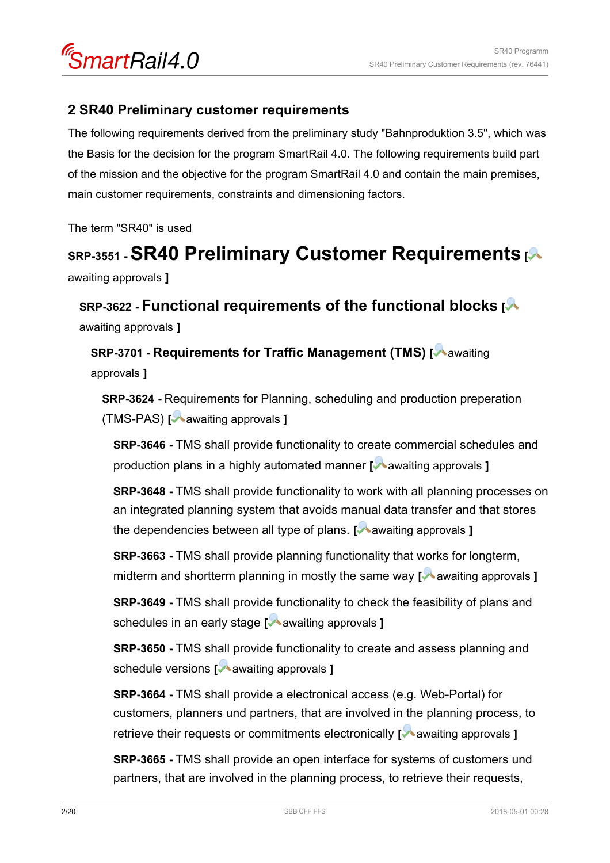

### **2 SR40 Preliminary customer requirements**

The following requirements derived from the preliminary study "Bahnproduktion 3.5", which was the Basis for the decision for the program SmartRail 4.0. The following requirements build part of the mission and the objective for the program SmartRail 4.0 and contain the main premises, main customer requirements, constraints and dimensioning factors.

The term "SR40" is used

# **SRP-3551 - SR40 Preliminary Customer Requirements [**

awaiting approvals **]**

**SRP-3622 - Functional requirements of the functional blocks [** awaiting approvals **]**

**SRP-3701 - Requirements for Traffic Management (TMS) [** awaiting approvals **]**

**SRP-3624 -** Requirements for Planning, scheduling and production preperation (TMS-PAS) **[** awaiting approvals **]**

**SRP-3646 -** TMS shall provide functionality to create commercial schedules and production plans in a highly automated manner **[** awaiting approvals **]**

**SRP-3648 -** TMS shall provide functionality to work with all planning processes on an integrated planning system that avoids manual data transfer and that stores the dependencies between all type of plans. **[** awaiting approvals **]** 

**SRP-3663 -** TMS shall provide planning functionality that works for longterm, midterm and shortterm planning in mostly the same way [**A** awaiting approvals ]

**SRP-3649 -** TMS shall provide functionality to check the feasibility of plans and schedules in an early stage **[** awaiting approvals **]** 

**SRP-3650 -** TMS shall provide functionality to create and assess planning and schedule versions **[** awaiting approvals **]**

**SRP-3664 -** TMS shall provide a electronical access (e.g. Web-Portal) for customers, planners und partners, that are involved in the planning process, to retrieve their requests or commitments electronically [ $\blacktriangleright$  awaiting approvals ]

**SRP-3665 -** TMS shall provide an open interface for systems of customers und partners, that are involved in the planning process, to retrieve their requests,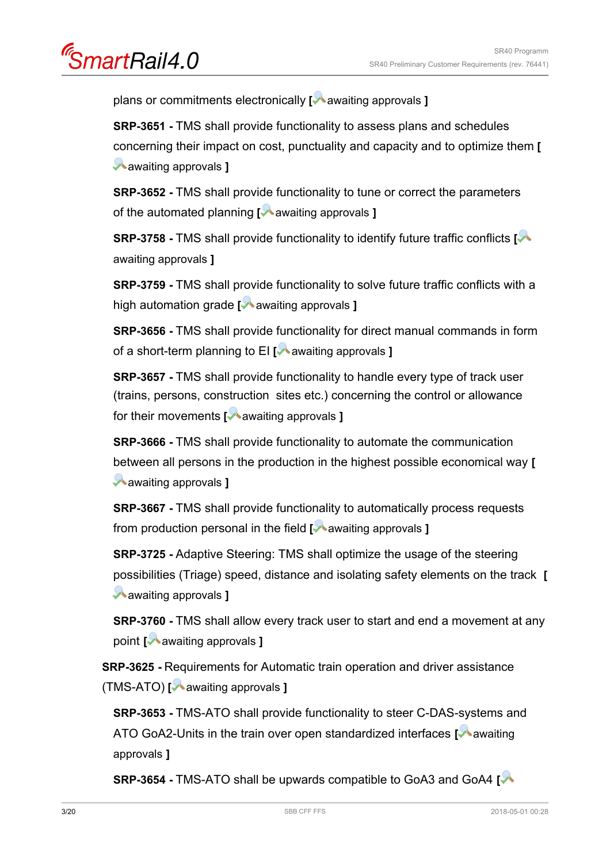artRail4.0

plans or commitments electronically **[** awaiting approvals **]**

**SRP-3651 -** TMS shall provide functionality to assess plans and schedules concerning their impact on cost, punctuality and capacity and to optimize them **[** awaiting approvals **]**

**SRP-3652 -** TMS shall provide functionality to tune or correct the parameters of the automated planning **[** awaiting approvals **]**

**SRP-3758 -** TMS shall provide functionality to identify future traffic conflicts **[** awaiting approvals **]**

**SRP-3759 -** TMS shall provide functionality to solve future traffic conflicts with a high automation grade **[** awaiting approvals **]** 

**SRP-3656 -** TMS shall provide functionality for direct manual commands in form of a short-term planning to EI **[** awaiting approvals **]** 

**SRP-3657 -** TMS shall provide functionality to handle every type of track user (trains, persons, construction sites etc.) concerning the control or allowance for their movements [**A** awaiting approvals ]

**SRP-3666 -** TMS shall provide functionality to automate the communication between all persons in the production in the highest possible economical way **[** awaiting approvals **]**

**SRP-3667 -** TMS shall provide functionality to automatically process requests from production personal in the field [**Maximum** approvals ]

**SRP-3725 -** Adaptive Steering: TMS shall optimize the usage of the steering possibilities (Triage) speed, distance and isolating safety elements on the track **[** awaiting approvals **]**

**SRP-3760 - TMS shall allow every track user to start and end a movement at any** point [**A** awaiting approvals ]

**SRP-3625 -** Requirements for Automatic train operation and driver assistance (TMS-ATO) **[** awaiting approvals **]**

**SRP-3653 -** TMS-ATO shall provide functionality to steer C-DAS-systems and ATO GoA2-Units in the train over open standardized interfaces [Mawaiting] approvals **]**

**SRP-3654 -** TMS-ATO shall be upwards compatible to GoA3 and GoA4 **[**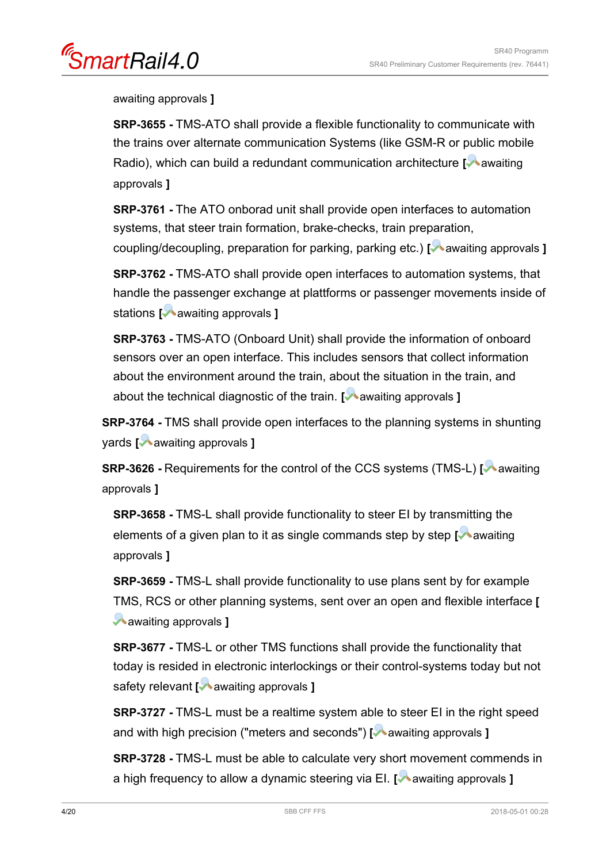nartRail4.0

awaiting approvals **]**

**SRP-3655 -** TMS-ATO shall provide a flexible functionality to communicate with the trains over alternate communication Systems (like GSM-R or public mobile Radio), which can build a redundant communication architecture **[**Aawaiting] approvals **]**

**SRP-3761 -** The ATO onborad unit shall provide open interfaces to automation systems, that steer train formation, brake-checks, train preparation, coupling/decoupling, preparation for parking, parking etc.) **[** awaiting approvals **]** 

**SRP-3762 -** TMS-ATO shall provide open interfaces to automation systems, that handle the passenger exchange at plattforms or passenger movements inside of stations **[** awaiting approvals **]**

**SRP-3763 -** TMS-ATO (Onboard Unit) shall provide the information of onboard sensors over an open interface. This includes sensors that collect information about the environment around the train, about the situation in the train, and about the technical diagnostic of the train. **[** awaiting approvals **]** 

**SRP-3764 -** TMS shall provide open interfaces to the planning systems in shunting yards **[** awaiting approvals **]**

**SRP-3626 - Requirements for the control of the CCS systems (TMS-L) [A awaiting** approvals **]**

**SRP-3658 -** TMS-L shall provide functionality to steer EI by transmitting the elements of a given plan to it as single commands step by step [**A** awaiting approvals **]**

**SRP-3659 -** TMS-L shall provide functionality to use plans sent by for example TMS, RCS or other planning systems, sent over an open and flexible interface **[** awaiting approvals **]**

**SRP-3677 -** TMS-L or other TMS functions shall provide the functionality that today is resided in electronic interlockings or their control-systems today but not safety relevant [ **a** awaiting approvals ]

**SRP-3727 -** TMS-L must be a realtime system able to steer EI in the right speed and with high precision ("meters and seconds") [ awaiting approvals **]** 

**SRP-3728 -** TMS-L must be able to calculate very short movement commends in a high frequency to allow a dynamic steering via EI. [**A** awaiting approvals **]**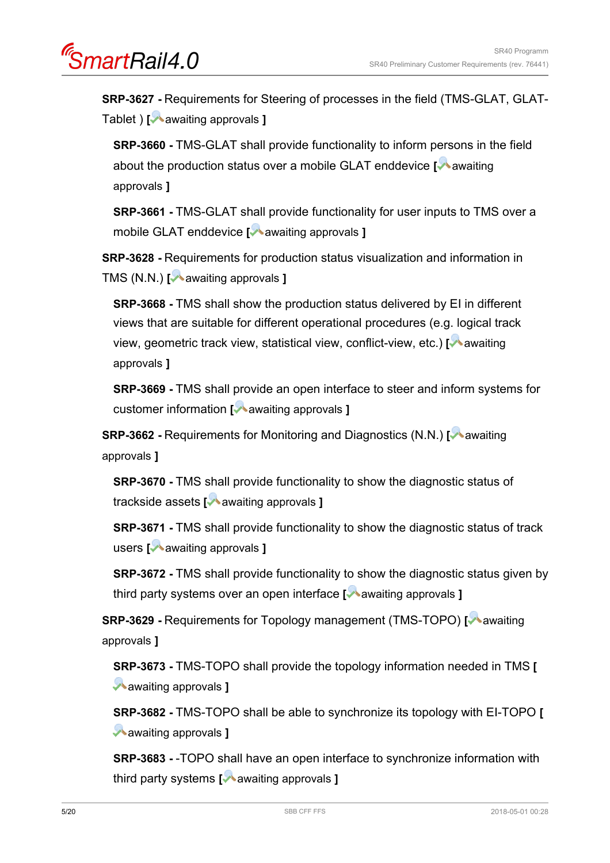**SRP-3627 -** Requirements for Steering of processes in the field (TMS-GLAT, GLAT-Tablet ) **[** awaiting approvals **]**

**SRP-3660 -** TMS-GLAT shall provide functionality to inform persons in the field about the production status over a mobile GLAT enddevice **[**A awaiting approvals **]**

**SRP-3661 -** TMS-GLAT shall provide functionality for user inputs to TMS over a mobile GLAT enddevice **[** awaiting approvals **]**

**SRP-3628 -** Requirements for production status visualization and information in TMS (N.N.) **[** awaiting approvals **]** 

**SRP-3668 -** TMS shall show the production status delivered by EI in different views that are suitable for different operational procedures (e.g. logical track view, geometric track view, statistical view, conflict-view, etc.) [<sup>1</sup> awaiting approvals **]**

**SRP-3669 -** TMS shall provide an open interface to steer and inform systems for customer information **[** awaiting approvals **]**

**SRP-3662** - Requirements for Monitoring and Diagnostics (N.N.) **[** awaiting approvals **]**

**SRP-3670 -** TMS shall provide functionality to show the diagnostic status of trackside assets **[** awaiting approvals **]**

**SRP-3671 -** TMS shall provide functionality to show the diagnostic status of track users **[** awaiting approvals **]** 

**SRP-3672 -** TMS shall provide functionality to show the diagnostic status given by third party systems over an open interface [Mawaiting approvals ]

**SRP-3629 - Requirements for Topology management (TMS-TOPO) [ awaiting** approvals **]**

**SRP-3673 -** TMS-TOPO shall provide the topology information needed in TMS **[** awaiting approvals **]**

**SRP-3682 -** TMS-TOPO shall be able to synchronize its topology with EI-TOPO **[** awaiting approvals **]**

**SRP-3683 -** -TOPO shall have an open interface to synchronize information with third party systems **[** awaiting approvals **]**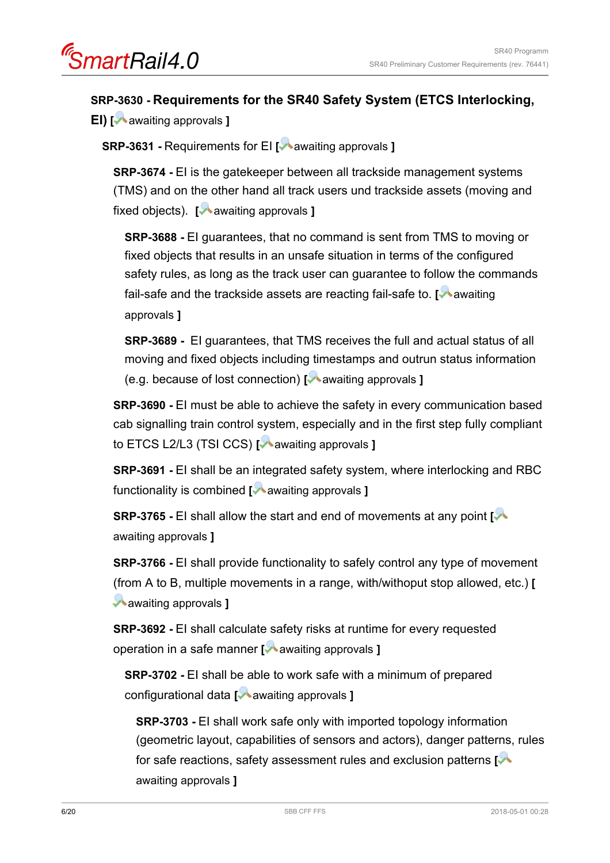### **SRP-3630 - Requirements for the SR40 Safety System (ETCS Interlocking,**

**EI) [** awaiting approvals **]**

**SRP-3631 - Requirements for EI [** awaiting approvals **]** 

**SRP-3674 - EI is the gatekeeper between all trackside management systems** (TMS) and on the other hand all track users und trackside assets (moving and fixed objects). **[** awaiting approvals **]** 

**SRP-3688 -** EI guarantees, that no command is sent from TMS to moving or fixed objects that results in an unsafe situation in terms of the configured safety rules, as long as the track user can guarantee to follow the commands fail-safe and the trackside assets are reacting fail-safe to. [Mawaiting] approvals **]**

**SRP-3689 -** EI guarantees, that TMS receives the full and actual status of all moving and fixed objects including timestamps and outrun status information (e.g. because of lost connection) **[** awaiting approvals **]**

**SRP-3690 -** EI must be able to achieve the safety in every communication based cab signalling train control system, especially and in the first step fully compliant to ETCS L2/L3 (TSI CCS) **[** awaiting approvals **]**

**SRP-3691 - EI shall be an integrated safety system, where interlocking and RBC** functionality is combined [ awaiting approvals ]

**SRP-3765 -** EI shall allow the start and end of movements at any point **[** awaiting approvals **]**

**SRP-3766 -** EI shall provide functionality to safely control any type of movement (from A to B, multiple movements in a range, with/withoput stop allowed, etc.) **[** awaiting approvals **]**

**SRP-3692 -** EI shall calculate safety risks at runtime for every requested operation in a safe manner **[** awaiting approvals **]**

**SRP-3702 -** EI shall be able to work safe with a minimum of prepared configurational data **[** awaiting approvals **]**

**SRP-3703 -** EI shall work safe only with imported topology information (geometric layout, capabilities of sensors and actors), danger patterns, rules for safe reactions, safety assessment rules and exclusion patterns **[** awaiting approvals **]**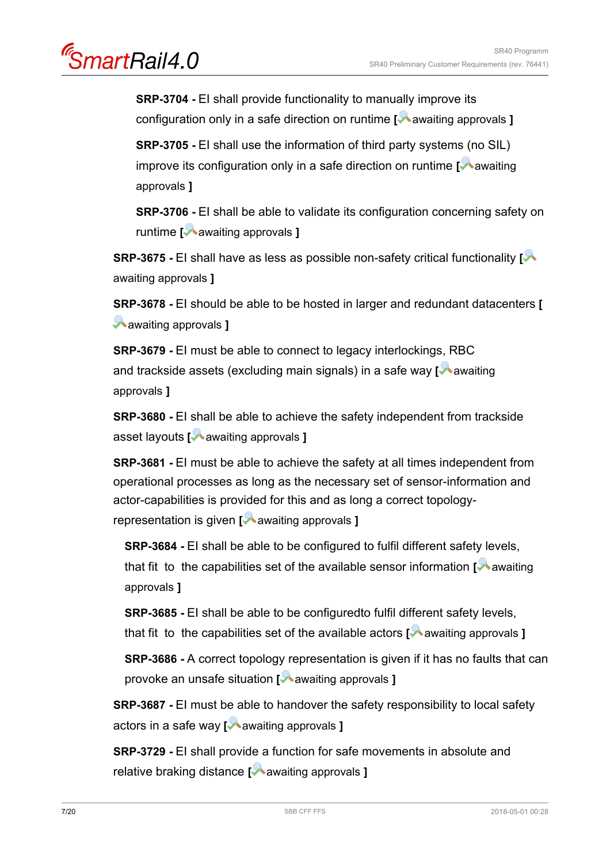artRail4.0

**SRP-3704 -** EI shall provide functionality to manually improve its configuration only in a safe direction on runtime **[** awaiting approvals **]** 

**SRP-3705 -** EI shall use the information of third party systems (no SIL) improve its configuration only in a safe direction on runtime **[** awaiting approvals **]**

**SRP-3706 -** EI shall be able to validate its configuration concerning safety on runtime **[** awaiting approvals **]**

**SRP-3675 -** EI shall have as less as possible non-safety critical functionality **[** awaiting approvals **]**

**SRP-3678 -** EI should be able to be hosted in larger and redundant datacenters **[** awaiting approvals **]**

**SRP-3679 -** EI must be able to connect to legacy interlockings, RBC and trackside assets (excluding main signals) in a safe way [**A** awaiting approvals **]**

**SRP-3680 -** EI shall be able to achieve the safety independent from trackside asset layouts **[** awaiting approvals **]**

**SRP-3681** - EI must be able to achieve the safety at all times independent from operational processes as long as the necessary set of sensor-information and actor-capabilities is provided for this and as long a correct topologyrepresentation is given [ awaiting approvals ]

**SRP-3684 -** EI shall be able to be configured to fulfil different safety levels, that fit to the capabilities set of the available sensor information **[** awaiting approvals **]**

**SRP-3685 -** EI shall be able to be configuredto fulfil different safety levels, that fit to the capabilities set of the available actors [ awaiting approvals ]

**SRP-3686 -** A correct topology representation is given if it has no faults that can provoke an unsafe situation **[** awaiting approvals **]**

**SRP-3687 -** EI must be able to handover the safety responsibility to local safety actors in a safe way **[** awaiting approvals **]**

**SRP-3729 -** EI shall provide a function for safe movements in absolute and relative braking distance **[** awaiting approvals **]**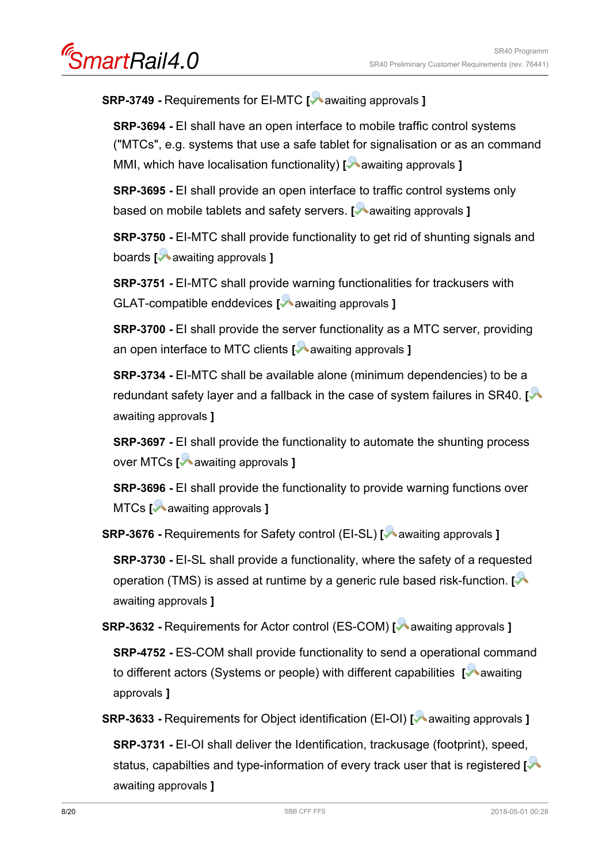**SRP-3749 -** Requirements for EI-MTC **[** awaiting approvals **]**

**SRP-3694 -** EI shall have an open interface to mobile traffic control systems ("MTCs", e.g. systems that use a safe tablet for signalisation or as an command MMI, which have localisation functionality) [**A** awaiting approvals ]

**SRP-3695 -** EI shall provide an open interface to traffic control systems only based on mobile tablets and safety servers. **[** awaiting approvals **]**

**SRP-3750 -** EI-MTC shall provide functionality to get rid of shunting signals and boards **[** awaiting approvals **]**

**SRP-3751 -** EI-MTC shall provide warning functionalities for trackusers with GLAT-compatible enddevices [ **a** awaiting approvals ]

**SRP-3700 - EI shall provide the server functionality as a MTC server, providing** an open interface to MTC clients [ awaiting approvals ]

**SRP-3734 -** EI-MTC shall be available alone (minimum dependencies) to be a redundant safety layer and a fallback in the case of system failures in SR40. **[** awaiting approvals **]**

**SRP-3697** - EI shall provide the functionality to automate the shunting process over MTCs **[** awaiting approvals **]**

**SRP-3696 -** EI shall provide the functionality to provide warning functions over MTCs **[** awaiting approvals **]**

**SRP-3676 -** Requirements for Safety control (EI-SL) **[** awaiting approvals **]**

**SRP-3730 - EI-SL shall provide a functionality, where the safety of a requested** operation (TMS) is assed at runtime by a generic rule based risk-function. **[** awaiting approvals **]**

**SRP-3632 -** Requirements for Actor control (ES-COM) **[** awaiting approvals **]**

**SRP-4752 -** ES-COM shall provide functionality to send a operational command to different actors (Systems or people) with different capabilities **[**Aawaiting] approvals **]**

**SRP-3633** - Requirements for Object identification (EI-OI) **[** awaiting approvals **]** 

**SRP-3731 -** EI-OI shall deliver the Identification, trackusage (footprint), speed, status, capabilties and type-information of every track user that is registered **[** awaiting approvals **]**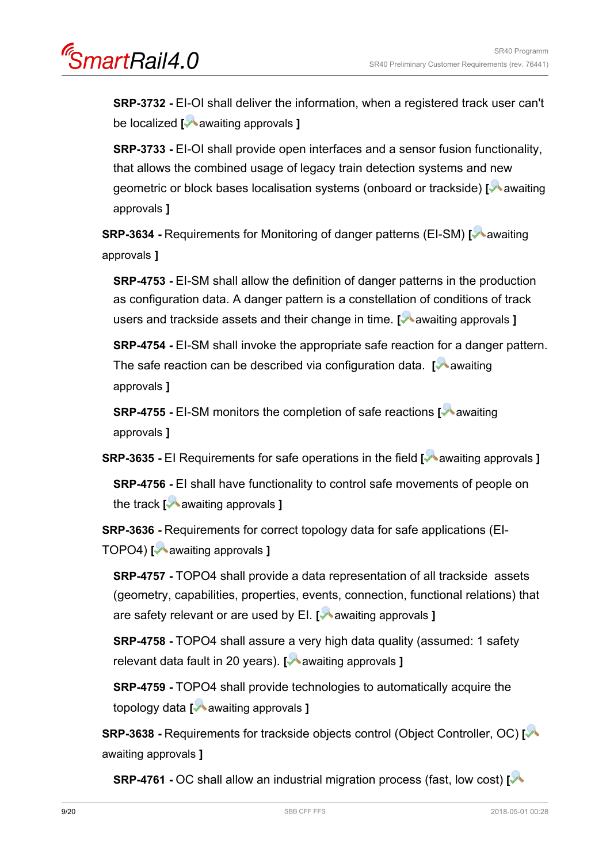artRail4.0

**SRP-3732 -** EI-OI shall deliver the information, when a registered track user can't be localized **[** awaiting approvals **]**

**SRP-3733 -** EI-OI shall provide open interfaces and a sensor fusion functionality, that allows the combined usage of legacy train detection systems and new geometric or block bases localisation systems (onboard or trackside) [<sup>1</sup> awaiting approvals **]**

**SRP-3634 - Requirements for Monitoring of danger patterns (EI-SM) [A awaiting** approvals **]**

**SRP-4753 - EI-SM shall allow the definition of danger patterns in the production** as configuration data. A danger pattern is a constellation of conditions of track users and trackside assets and their change in time. **[Magailarity approvals ]** 

**SRP-4754 - EI-SM shall invoke the appropriate safe reaction for a danger pattern.** The safe reaction can be described via configuration data. **[** awaiting] approvals **]**

**SRP-4755 - EI-SM monitors the completion of safe reactions <b>[** awaiting approvals **]**

**SRP-3635 - EI Requirements for safe operations in the field <b>[** awaiting approvals **]** 

**SRP-4756 -** EI shall have functionality to control safe movements of people on the track **[** awaiting approvals **]**

**SRP-3636 -** Requirements for correct topology data for safe applications (EI-TOPO4) **[** awaiting approvals **]**

**SRP-4757 -** TOPO4 shall provide a data representation of all trackside assets (geometry, capabilities, properties, events, connection, functional relations) that are safety relevant or are used by EI. **[** awaiting approvals **]**

**SRP-4758 -** TOPO4 shall assure a very high data quality (assumed: 1 safety relevant data fault in 20 years). **[** awaiting approvals **]**

**SRP-4759 -** TOPO4 shall provide technologies to automatically acquire the topology data **[** awaiting approvals **]**

**SRP-3638 -** Requirements for trackside objects control (Object Controller, OC) **[** awaiting approvals **]**

**SRP-4761 -** OC shall allow an industrial migration process (fast, low cost) **[**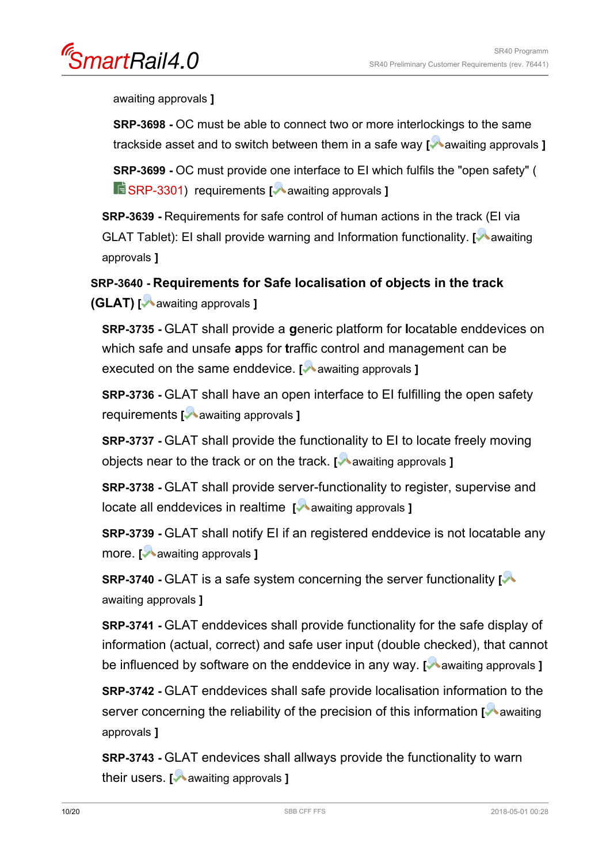nartRail4.0

awaiting approvals **]**

**SRP-3698 -** OC must be able to connect two or more interlockings to the same trackside asset and to switch between them in a safe way [**A** awaiting approvals ]

**SRP-3699 -** OC must provide one interface to EI which fulfils the "open safety" ( **E** [SRP-3301](https://trace.sbb.ch/polarion/#/project/SR40_Programm/workitem?id=SRP-3301)) requirements **[** awaiting approvals **]** 

**SRP-3639 -** Requirements for safe control of human actions in the track (EI via GLAT Tablet): EI shall provide warning and Information functionality. [Mawaiting] approvals **]**

# **SRP-3640 - Requirements for Safe localisation of objects in the track**

**(GLAT) [** awaiting approvals **]**

**SRP-3735 -** GLAT shall provide a **g**eneric platform for **l**ocatable enddevices on which safe and unsafe **a**pps for **t**raffic control and management can be executed on the same enddevice. [**A** awaiting approvals ]

**SRP-3736 - GLAT shall have an open interface to EI fulfilling the open safety** requirements [**A** awaiting approvals ]

**SRP-3737 - GLAT shall provide the functionality to EI to locate freely moving** objects near to the track or on the track. **[** awaiting approvals **]**

**SRP-3738 -** GLAT shall provide server-functionality to register, supervise and locate all enddevices in realtime [ awaiting approvals ]

**SRP-3739 -** GLAT shall notify EI if an registered enddevice is not locatable any more. **[** awaiting approvals **]**

**SRP-3740 - GLAT** is a safe system concerning the server functionality  $\sim$ awaiting approvals **]**

**SRP-3741 -** GLAT enddevices shall provide functionality for the safe display of information (actual, correct) and safe user input (double checked), that cannot be influenced by software on the enddevice in any way. [**A** awaiting approvals **]** 

**SRP-3742 -** GLAT enddevices shall safe provide localisation information to the server concerning the reliability of the precision of this information **[** awaiting approvals **]**

**SRP-3743 - GLAT endevices shall allways provide the functionality to warn** their users. **[** awaiting approvals **]**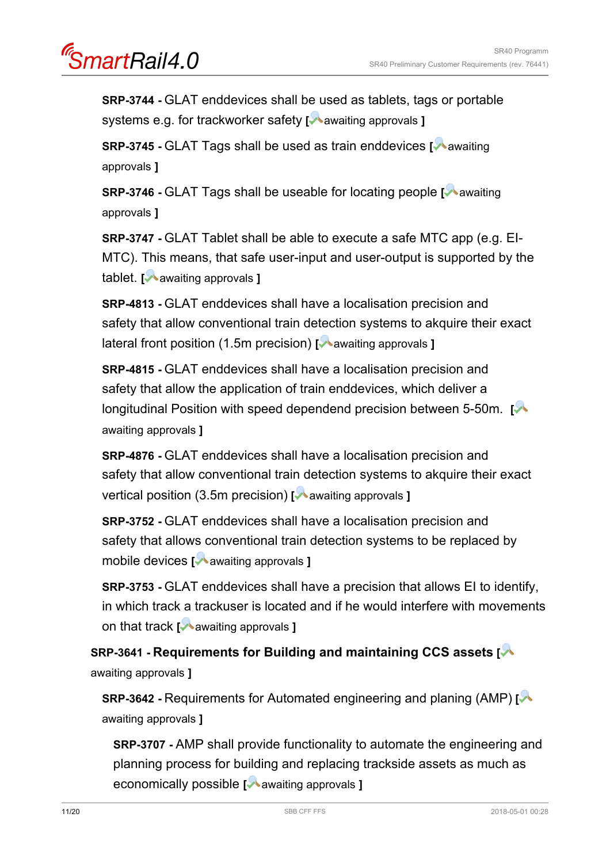**SRP-3744 -** GLAT enddevices shall be used as tablets, tags or portable systems e.g. for trackworker safety [**A** awaiting approvals ]

**SRP-3745 - GLAT Tags shall be used as train enddevices [Mawaiting]** approvals **]**

**SRP-3746 -** GLAT Tags shall be useable for locating people **[** awaiting approvals **]**

**SRP-3747 -** GLAT Tablet shall be able to execute a safe MTC app (e.g. EI-MTC). This means, that safe user-input and user-output is supported by the tablet. **[** awaiting approvals **]**

**SRP-4813 -** GLAT enddevices shall have a localisation precision and safety that allow conventional train detection systems to akquire their exact lateral front position (1.5m precision) [**A** awaiting approvals **]** 

**SRP-4815 -** GLAT enddevices shall have a localisation precision and safety that allow the application of train enddevices, which deliver a longitudinal Position with speed dependend precision between 5-50m. **[** awaiting approvals **]**

**SRP-4876 -** GLAT enddevices shall have a localisation precision and safety that allow conventional train detection systems to akquire their exact vertical position (3.5m precision) [**A** awaiting approvals **]** 

**SRP-3752 -** GLAT enddevices shall have a localisation precision and safety that allows conventional train detection systems to be replaced by mobile devices **[** awaiting approvals **]**

**SRP-3753 -** GLAT enddevices shall have a precision that allows EI to identify, in which track a trackuser is located and if he would interfere with movements on that track **[** awaiting approvals **]**

**SRP-3641 - Requirements for Building and maintaining CCS assets [** awaiting approvals **]**

**SRP-3642 -** Requirements for Automated engineering and planing (AMP) **[** awaiting approvals **]**

**SRP-3707 -** AMP shall provide functionality to automate the engineering and planning process for building and replacing trackside assets as much as economically possible **[** awaiting approvals **]**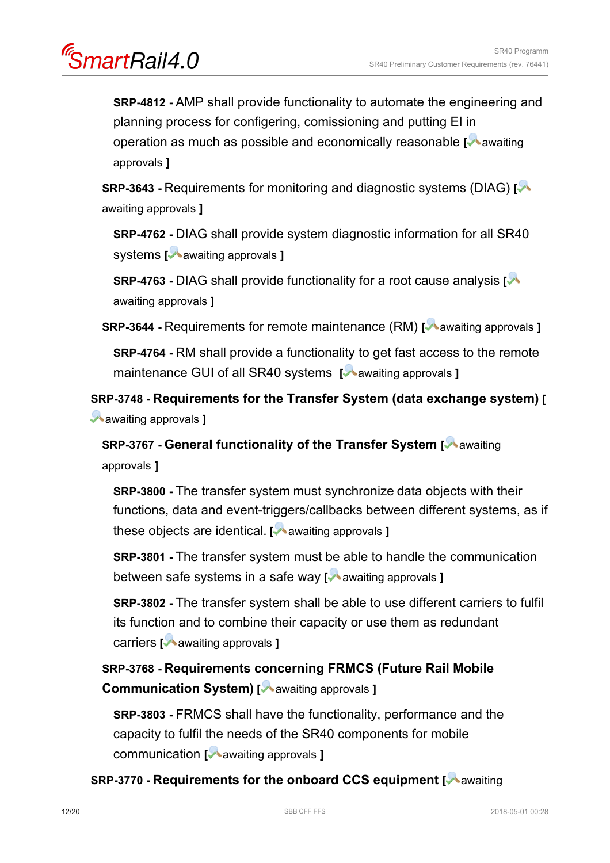artRail4.0

**SRP-4812 -** AMP shall provide functionality to automate the engineering and planning process for configering, comissioning and putting EI in operation as much as possible and economically reasonable **[** awaiting approvals **]**

**SRP-3643 -** Requirements for monitoring and diagnostic systems (DIAG) **[** awaiting approvals **]**

**SRP-4762 -** DIAG shall provide system diagnostic information for all SR40 systems **[** awaiting approvals **]**

**SRP-4763 -** DIAG shall provide functionality for a root cause analysis **[** awaiting approvals **]**

**SRP-3644** - Requirements for remote maintenance (RM) [ awaiting approvals ] **SRP-4764 -** RM shall provide a functionality to get fast access to the remote maintenance GUI of all SR40 systems [Mawaiting approvals ]

**SRP-3748 - Requirements for the Transfer System (data exchange system) [** awaiting approvals **]**

**SRP-3767 - General functionality of the Transfer System [A awaiting** approvals **]**

**SRP-3800 -** The transfer system must synchronize data objects with their functions, data and event-triggers/callbacks between different systems, as if these objects are identical. **[** awaiting approvals **]**

**SRP-3801 -** The transfer system must be able to handle the communication between safe systems in a safe way [ awaiting approvals ]

**SRP-3802 -** The transfer system shall be able to use different carriers to fulfil its function and to combine their capacity or use them as redundant carriers [ **a** awaiting approvals ]

**SRP-3768 - Requirements concerning FRMCS (Future Rail Mobile Communication System)** [ **A** awaiting approvals ]

**SRP-3803 -** FRMCS shall have the functionality, performance and the capacity to fulfil the needs of the SR40 components for mobile communication [**A** awaiting approvals ]

**SRP-3770 - Requirements for the onboard CCS equipment [** awaiting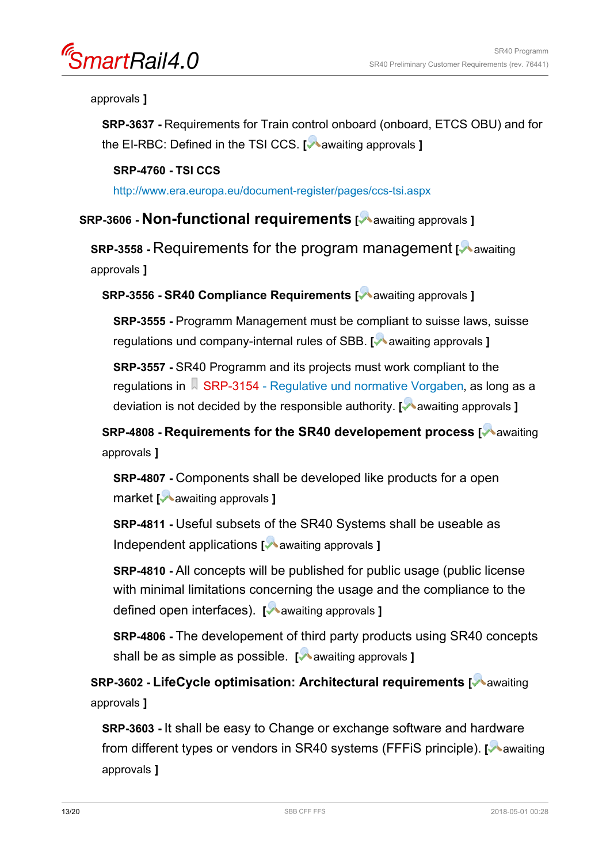nartRail4.0

#### approvals **]**

**SRP-3637 -** Requirements for Train control onboard (onboard, ETCS OBU) and for the EI-RBC: Defined in the TSI CCS. [ awaiting approvals ]

### **SRP-4760 - TSI CCS**

<http://www.era.europa.eu/document-register/pages/ccs-tsi.aspx>

### **SRP-3606 - Non-functional requirements [** awaiting approvals **]**

**SRP-3558 - Requirements for the program management [A awaiting]** approvals **]**

**SRP-3556 - SR40 Compliance Requirements [** awaiting approvals **]**

**SRP-3555 -** Programm Management must be compliant to suisse laws, suisse regulations und company-internal rules of SBB. [ awaiting approvals ]

**SRP-3557 -** SR40 Programm and its projects must work compliant to the regulations in [SRP-3154 - Regulative und normative Vorgaben](https://trace.sbb.ch/polarion/#/project/SR40_Programm/workitem?id=SRP-3154), as long as a deviation is not decided by the responsible authority. **[** awaiting approvals **]**

**SRP-4808 - Requirements for the SR40 developement process [Mawaiting]** approvals **]**

**SRP-4807 -** Components shall be developed like products for a open market **[** awaiting approvals **]**

**SRP-4811 -** Useful subsets of the SR40 Systems shall be useable as Independent applications **[** awaiting approvals **]** 

**SRP-4810 -** All concepts will be published for public usage (public license with minimal limitations concerning the usage and the compliance to the defined open interfaces). **[** awaiting approvals **]**

**SRP-4806 -** The developement of third party products using SR40 concepts shall be as simple as possible. **[** awaiting approvals **]** 

**SRP-3602 - LifeCycle optimisation: Architectural requirements [A awaiting]** approvals **]**

**SRP-3603 -** It shall be easy to Change or exchange software and hardware from different types or vendors in SR40 systems (FFFiS principle). [A awaiting approvals **]**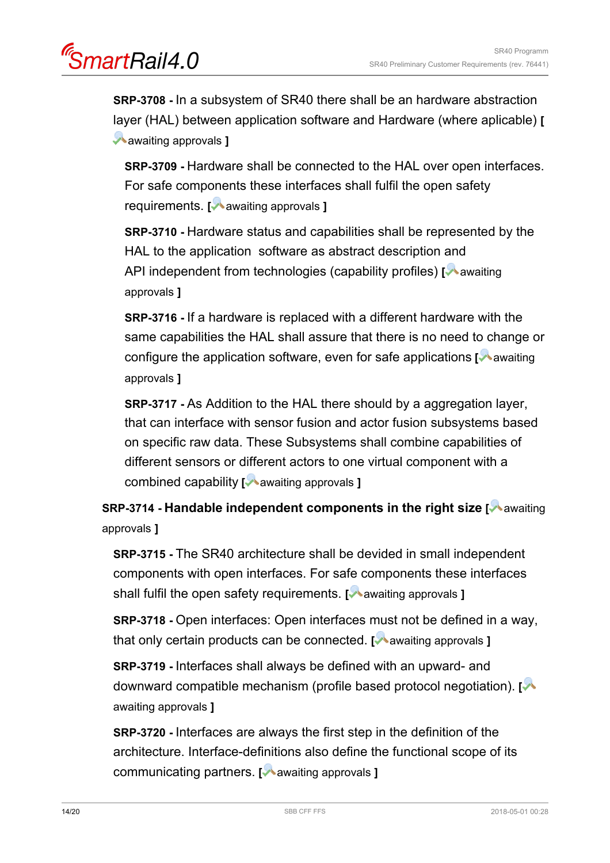artRail4.0

**SRP-3708 -** In a subsystem of SR40 there shall be an hardware abstraction layer (HAL) between application software and Hardware (where aplicable) **[** awaiting approvals **]**

**SRP-3709 - Hardware shall be connected to the HAL over open interfaces.** For safe components these interfaces shall fulfil the open safety requirements. **[** awaiting approvals **]**

**SRP-3710 -** Hardware status and capabilities shall be represented by the HAL to the application software as abstract description and API independent from technologies (capability profiles) [ $\blacktriangleright$  awaiting approvals **]**

**SRP-3716 -** If a hardware is replaced with a different hardware with the same capabilities the HAL shall assure that there is no need to change or configure the application software, even for safe applications [**Maxaiting**] approvals **]**

**SRP-3717 -** As Addition to the HAL there should by a aggregation layer, that can interface with sensor fusion and actor fusion subsystems based on specific raw data. These Subsystems shall combine capabilities of different sensors or different actors to one virtual component with a combined capability **[** awaiting approvals **]**

**SRP-3714 - Handable independent components in the right size [ awaiting** approvals **]**

**SRP-3715 -** The SR40 architecture shall be devided in small independent components with open interfaces. For safe components these interfaces shall fulfil the open safety requirements. [Mawaiting approvals ]

**SRP-3718 -** Open interfaces: Open interfaces must not be defined in a way, that only certain products can be connected. [**A** awaiting approvals **]** 

**SRP-3719 -** Interfaces shall always be defined with an upward- and downward compatible mechanism (profile based protocol negotiation). **[** awaiting approvals **]**

**SRP-3720 -** Interfaces are always the first step in the definition of the architecture. Interface-definitions also define the functional scope of its communicating partners. **[** awaiting approvals **]**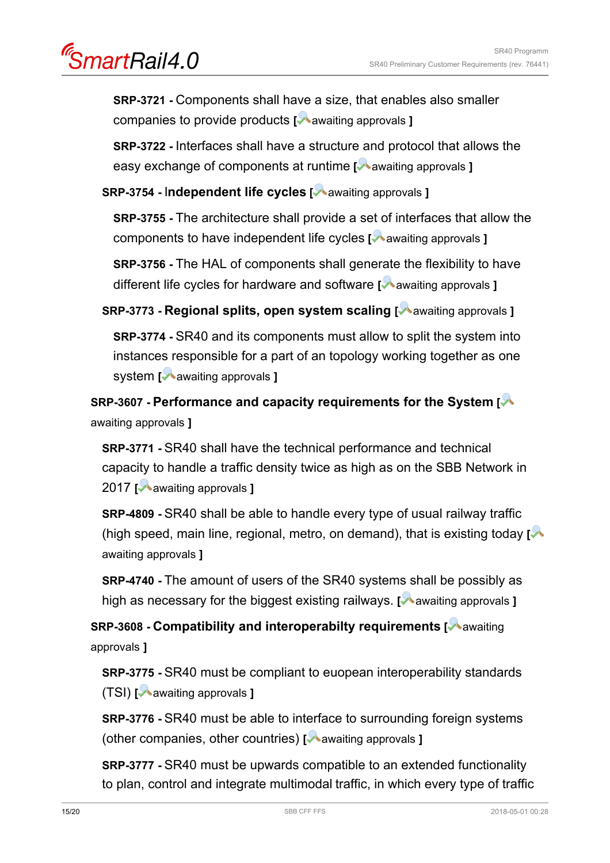nartRail4.0

**SRP-3721 -** Components shall have a size, that enables also smaller companies to provide products [ awaiting approvals ]

**SRP-3722 -** Interfaces shall have a structure and protocol that allows the easy exchange of components at runtime [**A** awaiting approvals ]

**SRP-3754 -** I**ndependent life cycles [** awaiting approvals **]**

**SRP-3755 -** The architecture shall provide a set of interfaces that allow the components to have independent life cycles [ awaiting approvals ]

**SRP-3756 -** The HAL of components shall generate the flexibility to have different life cycles for hardware and software [A awaiting approvals ]

**SRP-3773 - Regional splits, open system scaling [** awaiting approvals **]**

**SRP-3774 -** SR40 and its components must allow to split the system into instances responsible for a part of an topology working together as one system **[** awaiting approvals **]**

**SRP-3607 - Performance and capacity requirements for the System [** awaiting approvals **]**

**SRP-3771 -** SR40 shall have the technical performance and technical capacity to handle a traffic density twice as high as on the SBB Network in 2017 **[** awaiting approvals **]**

**SRP-4809 -** SR40 shall be able to handle every type of usual railway traffic (high speed, main line, regional, metro, on demand), that is existing today **[** awaiting approvals **]**

**SRP-4740 - The amount of users of the SR40 systems shall be possibly as** high as necessary for the biggest existing railways. **[Markor** approvals **]** 

**SRP-3608 - Compatibility and interoperabilty requirements [** awaiting approvals **]**

**SRP-3775 -** SR40 must be compliant to euopean interoperability standards (TSI) **[** awaiting approvals **]**

**SRP-3776 -** SR40 must be able to interface to surrounding foreign systems (other companies, other countries) **[** awaiting approvals **]**

**SRP-3777 -** SR40 must be upwards compatible to an extended functionality to plan, control and integrate multimodal traffic, in which every type of traffic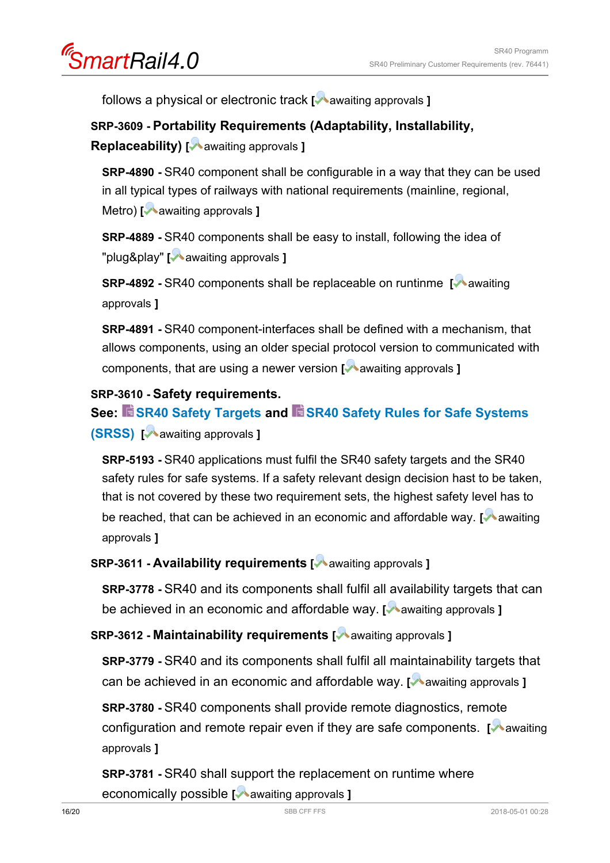SmartRail4.0

follows a physical or electronic track [ awaiting approvals ]

### **SRP-3609 - Portability Requirements (Adaptability, Installability,**

**Replaceability) [** awaiting approvals **]**

**SRP-4890 -** SR40 component shall be configurable in a way that they can be used in all typical types of railways with national requirements (mainline, regional, Metro) **[** awaiting approvals **]**

**SRP-4889 -** SR40 components shall be easy to install, following the idea of "plug&play" **[** awaiting approvals **]**

**SRP-4892 - SR40 components shall be replaceable on runtinme [ awaiting** approvals **]**

**SRP-4891 -** SR40 component-interfaces shall be defined with a mechanism, that allows components, using an older special protocol version to communicated with components, that are using a newer version **[** awaiting approvals **]**

### **SRP-3610 - Safety requirements.**

**See: [SR40 Safety Targets](https://trace.sbb.ch/polarion/#/project/SR40_Programm/wiki/70_safety/SmartRail%2040%20Safety%20Targets) and [SR40 Safety Rules for Safe Systems](https://trace.sbb.ch/polarion/#/project/SR40_Programm/wiki/70_safety/SR40_Safety_Rules_for_Safe_Systems_SRSS) [\(SRSS\)](https://trace.sbb.ch/polarion/#/project/SR40_Programm/wiki/70_safety/SR40_Safety_Rules_for_Safe_Systems_SRSS) [** awaiting approvals **]**

**SRP-5193 -** SR40 applications must fulfil the SR40 safety targets and the SR40 safety rules for safe systems. If a safety relevant design decision hast to be taken, that is not covered by these two requirement sets, the highest safety level has to be reached, that can be achieved in an economic and affordable way. **[Maddell** awaiting] approvals **]**

### **SRP-3611 - Availability requirements [** awaiting approvals **]**

**SRP-3778 -** SR40 and its components shall fulfil all availability targets that can be achieved in an economic and affordable way. **[** awaiting approvals **]**

### **SRP-3612 - Maintainability requirements [** awaiting approvals **]**

**SRP-3779 -** SR40 and its components shall fulfil all maintainability targets that can be achieved in an economic and affordable way. **[** awaiting approvals **]** 

**SRP-3780 -** SR40 components shall provide remote diagnostics, remote configuration and remote repair even if they are safe components. [Mawaiting] approvals **]**

**SRP-3781 -** SR40 shall support the replacement on runtime where economically possible **[** awaiting approvals **]**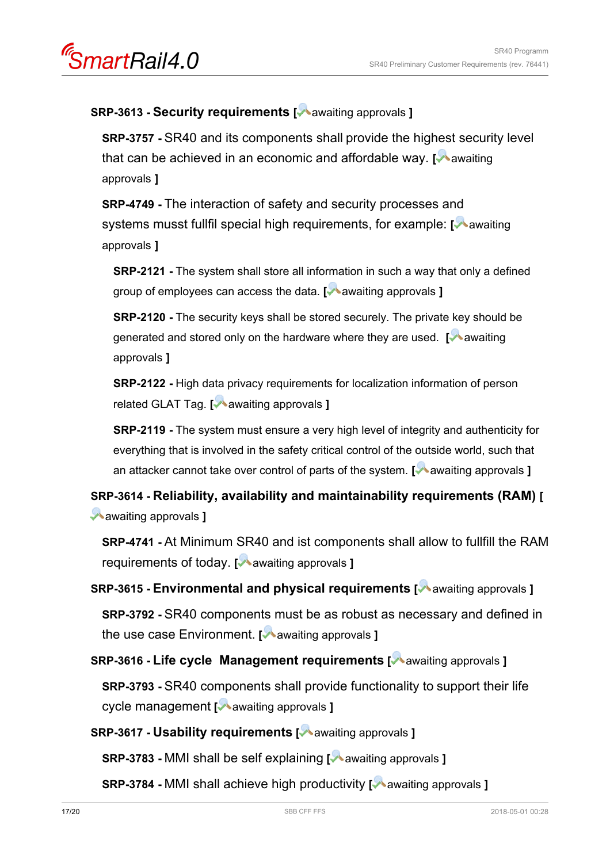### **SRP-3613 - Security requirements [** awaiting approvals **]**

**SRP-3757 -** SR40 and its components shall provide the highest security level that can be achieved in an economic and affordable way. **[** awaiting approvals **]**

**SRP-4749 -** The interaction of safety and security processes and systems musst fullfil special high requirements, for example: [<sup>1</sup> awaiting] approvals **]**

**SRP-2121 -** The system shall store all information in such a way that only a defined group of employees can access the data. [ **a**waiting approvals ]

**SRP-2120 -** The security keys shall be stored securely. The private key should be generated and stored only on the hardware where they are used. **[** awaiting approvals **]**

**SRP-2122 -** High data privacy requirements for localization information of person related GLAT Tag. **[** awaiting approvals **]**

**SRP-2119 -** The system must ensure a very high level of integrity and authenticity for everything that is involved in the safety critical control of the outside world, such that an attacker cannot take over control of parts of the system. **[** awaiting approvals **]** 

**SRP-3614 - Reliability, availability and maintainability requirements (RAM) [** awaiting approvals **]**

**SRP-4741 -** At Minimum SR40 and ist components shall allow to fullfill the RAM requirements of today. **[** awaiting approvals **]** 

**SRP-3615 - Environmental and physical requirements [** awaiting approvals **]**

**SRP-3792 -** SR40 components must be as robust as necessary and defined in the use case Environment. **[** awaiting approvals **]**

**SRP-3616 - Life cycle Management requirements [** awaiting approvals **]**

**SRP-3793 -** SR40 components shall provide functionality to support their life cycle management **[** awaiting approvals **]**

**SRP-3617 - Usability requirements [** awaiting approvals **]**

**SRP-3783 -** MMI shall be self explaining **[** awaiting approvals **]**

**SRP-3784 -** MMI shall achieve high productivity **[** awaiting approvals **]**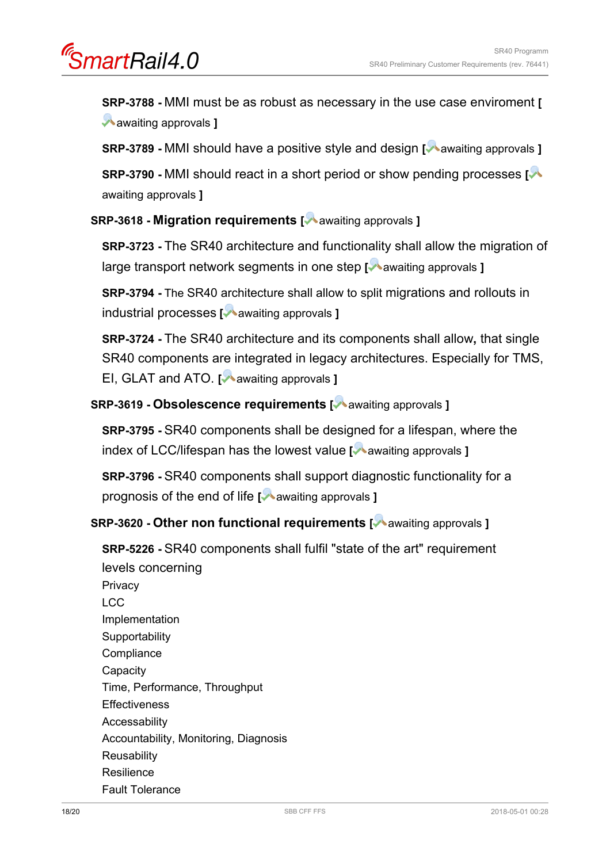**SRP-3788 -** MMI must be as robust as necessary in the use case enviroment **[** awaiting approvals **]**

**SRP-3789 - MMI** should have a positive style and design [ awaiting approvals ]

**SRP-3790 -** MMI should react in a short period or show pending processes **[** awaiting approvals **]**

### **SRP-3618 - Migration requirements [** awaiting approvals **]**

**SRP-3723 -** The SR40 architecture and functionality shall allow the migration of large transport network segments in one step [A awaiting approvals ]

**SRP-3794 -** The SR40 architecture shall allow to split migrations and rollouts in industrial processes **[** awaiting approvals **]**

**SRP-3724 -** The SR40 architecture and its components shall allow**,** that single SR40 components are integrated in legacy architectures. Especially for TMS, EI, GLAT and ATO. **[** awaiting approvals **]** 

**SRP-3619 - Obsolescence requirements [** awaiting approvals **]**

**SRP-3795 -** SR40 components shall be designed for a lifespan, where the index of LCC/lifespan has the lowest value [ awaiting approvals ]

**SRP-3796 -** SR40 components shall support diagnostic functionality for a prognosis of the end of life **[** awaiting approvals **]** 

**SRP-3620 - Other non functional requirements [** awaiting approvals **]**

**SRP-5226 -** SR40 components shall fulfil "state of the art" requirement levels concerning

**Privacy** LCC Implementation **Supportability Compliance Capacity** Time, Performance, Throughput **Effectiveness** Accessability Accountability, Monitoring, Diagnosis **Reusability** Resilience Fault Tolerance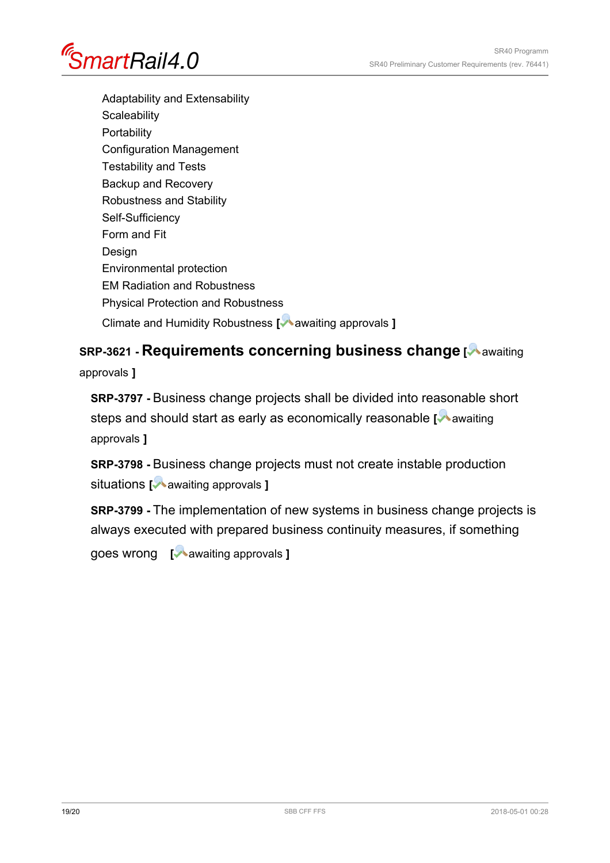

Adaptability and Extensability **Scaleability Portability** Configuration Management Testability and Tests Backup and Recovery Robustness and Stability Self-Sufficiency Form and Fit Design Environmental protection EM Radiation and Robustness Physical Protection and Robustness Climate and Humidity Robustness **[** awaiting approvals **]** 

## **SRP-3621 - Requirements concerning business change [** awaiting

approvals **]**

**SRP-3797 -** Business change projects shall be divided into reasonable short steps and should start as early as economically reasonable [Mawaiting] approvals **]**

**SRP-3798 -** Business change projects must not create instable production situations **[** awaiting approvals **]**

**SRP-3799 -** The implementation of new systems in business change projects is always executed with prepared business continuity measures, if something

goes wrong **[** awaiting approvals **]**